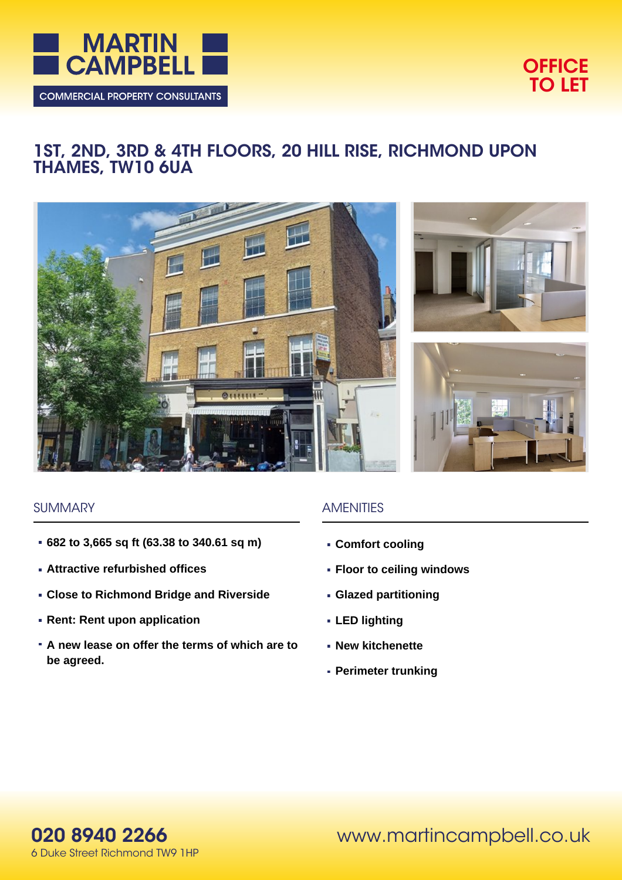



# **1ST, 2ND, 3RD & 4TH FLOORS, 20 HILL RISE, RICHMOND UPON THAMES, TW10 6UA**







#### **SUMMARY**

- **682 to 3,665 sq ft (63.38 to 340.61 sq m)**
- **Attractive refurbished offices**
- **Close to Richmond Bridge and Riverside**
- **Rent: Rent upon application**
- **A new lease on offer the terms of which are to be agreed.**

# **AMENITIES**

- **Comfort cooling**
- **Floor to ceiling windows**
- **Glazed partitioning**
- **LED lighting**
- **New kitchenette**
- **Perimeter trunking**

**020 8940 2266** 6 Duke Street Richmond TW9 1HP www.martincampbell.co.uk